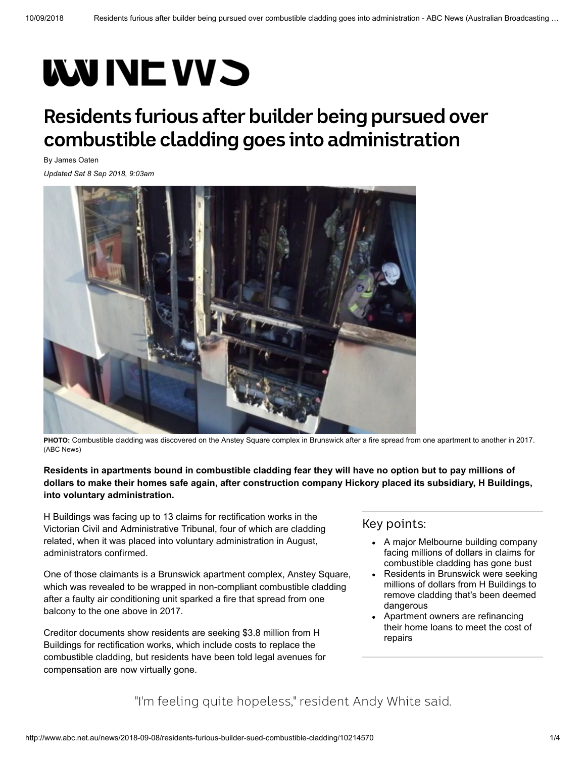# **WUNEWS**

# **Residents furious after builder being pursued over combustible cladding goes into administration**

By [James Oaten](http://www.abc.net.au/news/james-oaten/5512204)

*Updated Sat 8 Sep 2018, 9:03am*



**PHOTO:** [Combustible cladding was discovered on the Anstey Square complex in Brunswick after a fire spread from one apartment to another in 2017.](http://www.abc.net.au/news/2018-09-08/anstey-square-fire-in-brunswick/10215340) (ABC News)

**Residents in apartments bound in combustible cladding fear they will have no option but to pay millions of dollars to make their homes safe again, after construction company Hickory placed its subsidiary, H Buildings, into voluntary administration.**

H Buildings was facing up to 13 claims for rectification works in the Victorian Civil and Administrative Tribunal, four of which are cladding related, when it was placed into voluntary administration in August, administrators confirmed.

One of those claimants is a Brunswick apartment complex, Anstey Square, which was revealed to be wrapped in non-compliant combustible cladding after a faulty air conditioning unit sparked a fire that spread from one balcony to the one above in 2017.

Creditor documents show residents are seeking \$3.8 million from H Buildings for rectification works, which include costs to replace the combustible cladding, but residents have been told legal avenues for compensation are now virtually gone.

#### Key points:

- A major Melbourne building company facing millions of dollars in claims for combustible cladding has gone bust
- Residents in Brunswick were seeking  $\bullet$ millions of dollars from H Buildings to remove cladding that's been deemed dangerous
- Apartment owners are refinancing their home loans to meet the cost of repairs

"I'm feeling quite hopeless," resident Andy White said.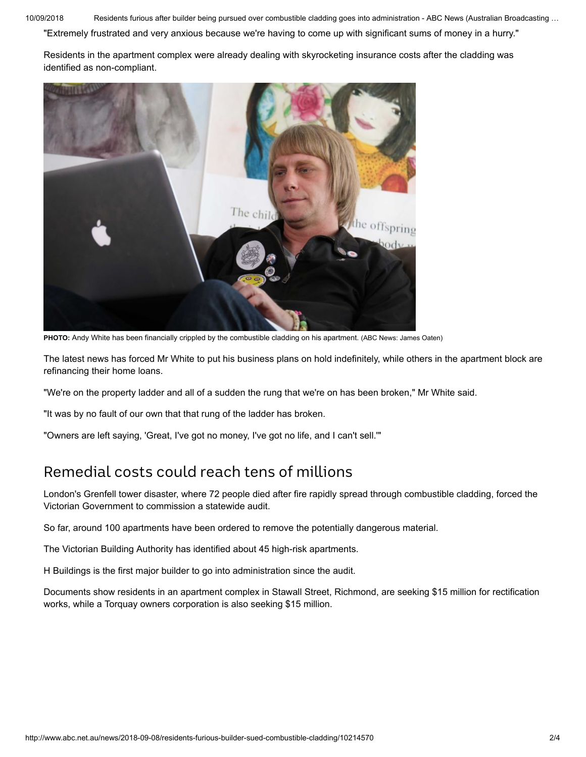10/09/2018 Residents furious after builder being pursued over combustible cladding goes into administration - ABC News (Australian Broadcasting …

"Extremely frustrated and very anxious because we're having to come up with significant sums of money in a hurry."

[Residents in the apartment complex were already dealing with skyrocketing insurance costs after the cladding was](http://www.abc.net.au/news/2017-12-09/melbourne-residents-concerned-about-combustible-cladding/9220070) identified as non-compliant.



**PHOTO:** [Andy White has been financially crippled by the combustible cladding on his apartment.](http://www.abc.net.au/news/2018-09-08/andy-white/10214646) (ABC News: James Oaten)

The latest news has forced Mr White to put his business plans on hold indefinitely, while others in the apartment block are refinancing their home loans.

"We're on the property ladder and all of a sudden the rung that we're on has been broken," Mr White said.

"It was by no fault of our own that that rung of the ladder has broken.

"Owners are left saying, 'Great, I've got no money, I've got no life, and I can't sell.'"

## Remedial costs could reach tens of millions

London's Grenfell tower disaster, where 72 people died after fire rapidly spread through combustible cladding, forced the Victorian Government to commission a statewide audit.

So far, around 100 apartments have been ordered to remove the potentially dangerous material.

The Victorian Building Authority has identified about 45 high-risk apartments.

H Buildings is the first major builder to go into administration since the audit.

Documents show residents in an apartment complex in Stawall Street, Richmond, are seeking \$15 million for rectification works, while a Torquay owners corporation is also seeking \$15 million.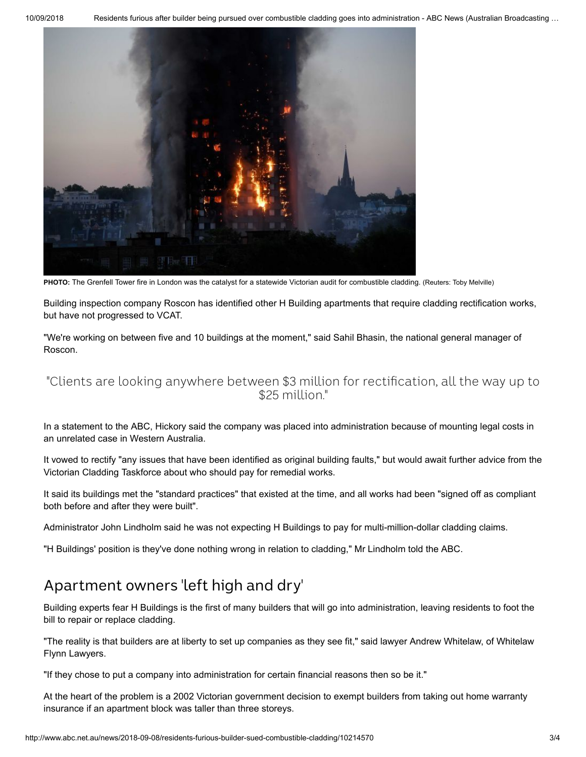10/09/2018 Residents furious after builder being pursued over combustible cladding goes into administration - ABC News (Australian Broadcasting …



**PHOTO:** [The Grenfell Tower fire in London was the catalyst for a statewide Victorian audit for combustible cladding.](http://www.abc.net.au/news/2018-09-08/fire-rips-through-grenfell-tower/10215360) (Reuters: Toby Melville)

Building inspection company Roscon has identified other H Building apartments that require cladding rectification works, but have not progressed to VCAT.

"We're working on between five and 10 buildings at the moment," said Sahil Bhasin, the national general manager of Roscon.

#### "Clients are looking anywhere between \$3 million for rectification, all the way up to \$25 million."

In a statement to the ABC, Hickory said the company was placed into administration because of mounting legal costs in an unrelated case in Western Australia.

It vowed to rectify "any issues that have been identified as original building faults," but would await further advice from the Victorian Cladding Taskforce about who should pay for remedial works.

It said its buildings met the "standard practices" that existed at the time, and all works had been "signed off as compliant both before and after they were built".

Administrator John Lindholm said he was not expecting H Buildings to pay for multi-million-dollar cladding claims.

"H Buildings' position is they've done nothing wrong in relation to cladding," Mr Lindholm told the ABC.

## Apartment owners 'left high and dry'

Building experts fear H Buildings is the first of many builders that will go into administration, leaving residents to foot the bill to repair or replace cladding.

"The reality is that builders are at liberty to set up companies as they see fit," said lawyer Andrew Whitelaw, of Whitelaw Flynn Lawyers.

"If they chose to put a company into administration for certain financial reasons then so be it."

At the heart of the problem is a 2002 Victorian government decision to exempt builders from taking out home warranty insurance if an apartment block was taller than three storeys.